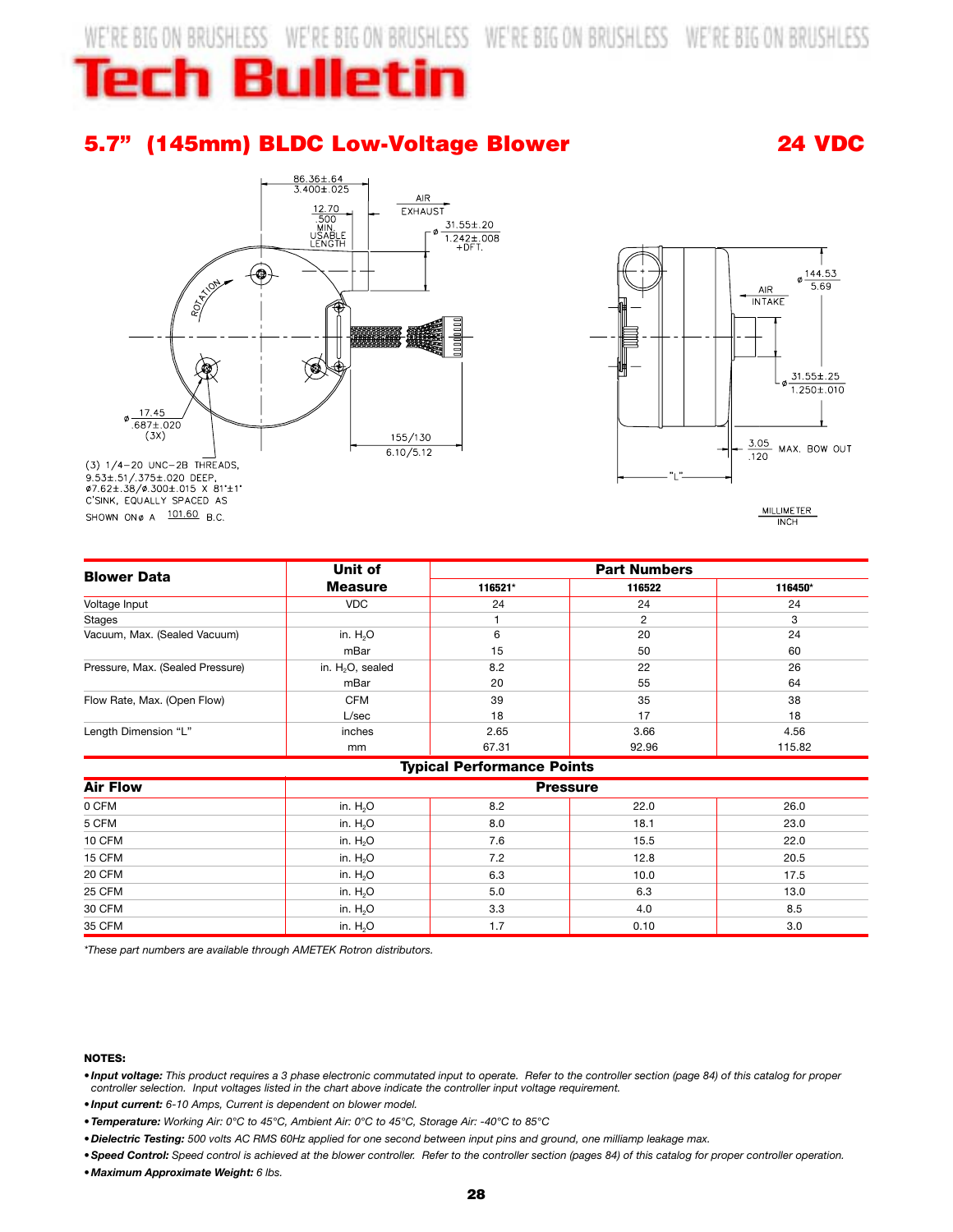WE'RE BIG ON BRUSHLESS WE'RE BIG ON BRUSHLESS WE'RE BIG ON BRUSHLESS WE'RE BIG ON BRUSHLESS

# **Tech Bulletin**

### **5.7" (145mm) BLDC Low-Voltage Blower 24 VDC**





 $(3)$  1/4-20 UNC-2B THREADS, 9.53±.51/.375±.020 DEEP,<br>\$7.62±.38/\$.300±.015 X 81'±1' C'SINK, EQUALLY SPACED AS SHOWN ON ø A 101.60 B.C.

**MILLIMETER**  $\overline{\text{INCF}}$ 

| <b>Blower Data</b>               | Unit of<br><b>Measure</b> | <b>Part Numbers</b> |        |         |
|----------------------------------|---------------------------|---------------------|--------|---------|
|                                  |                           | 116521*             | 116522 | 116450* |
| Voltage Input                    | <b>VDC</b>                | 24                  | 24     | 24      |
| Stages                           |                           |                     | 2      | 3       |
| Vacuum, Max. (Sealed Vacuum)     | in. $H2O$                 | 6                   | 20     | 24      |
|                                  | mBar                      | 15                  | 50     | 60      |
| Pressure, Max. (Sealed Pressure) | in. $H_2O$ , sealed       | 8.2                 | 22     | 26      |
|                                  | mBar                      | 20                  | 55     | 64      |
| Flow Rate, Max. (Open Flow)      | <b>CFM</b>                | 39                  | 35     | 38      |
|                                  | L/sec                     | 18                  | 17     | 18      |
| Length Dimension "L"             | inches                    | 2.65                | 3.66   | 4.56    |
|                                  | mm                        | 67.31               | 92.96  | 115.82  |

| <b>Typical Performance Points</b> |                 |     |      |      |  |  |
|-----------------------------------|-----------------|-----|------|------|--|--|
| <b>Air Flow</b><br>0 CFM          | <b>Pressure</b> |     |      |      |  |  |
|                                   | in. $H2O$       | 8.2 | 22.0 | 26.0 |  |  |
| 5 CFM                             | in. $H_2O$      | 8.0 | 18.1 | 23.0 |  |  |
| 10 CFM                            | in. $H2O$       | 7.6 | 15.5 | 22.0 |  |  |
| 15 CFM                            | in. $H2O$       | 7.2 | 12.8 | 20.5 |  |  |
| 20 CFM                            | in. $H_2O$      | 6.3 | 10.0 | 17.5 |  |  |
| 25 CFM                            | in. $H2O$       | 5.0 | 6.3  | 13.0 |  |  |
| 30 CFM                            | in. $H2O$       | 3.3 | 4.0  | 8.5  |  |  |
| 35 CFM                            | in. $H_2O$      | 1.7 | 0.10 | 3.0  |  |  |

*\*These part numbers are available through AMETEK Rotron distributors.*

#### **NOTES:**

*• Input voltage: This product requires a 3 phase electronic commutated input to operate. Refer to the controller section (page 84) of this catalog for proper controller selection. Input voltages listed in the chart above indicate the controller input voltage requirement.*

*• Input current: 6-10 Amps, Current is dependent on blower model.*

*•Temperature: Working Air: 0°C to 45°C, Ambient Air: 0°C to 45°C, Storage Air: -40°C to 85°C*

*• Dielectric Testing: 500 volts AC RMS 60Hz applied for one second between input pins and ground, one milliamp leakage max.*

*•Speed Control: Speed control is achieved at the blower controller. Refer to the controller section (pages 84) of this catalog for proper controller operation.*

*• Maximum Approximate Weight: 6 lbs.*